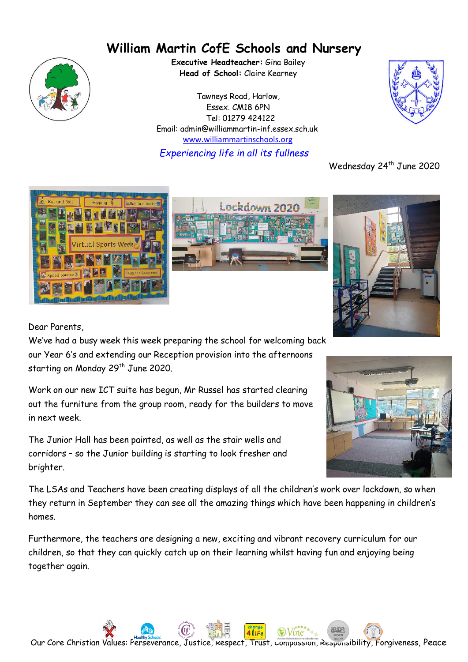# **William Martin CofE Schools and Nursery**



**Executive Headteacher:** Gina Bailey **Head of School:** Claire Kearney

Tawneys Road, Harlow, Essex. CM18 6PN Tel: 01279 424122 Email: admin@williammartin-inf.essex.sch.uk www.williammartinschools.org *Experiencing life in all its fullness*



Wednesday 24<sup>th</sup> June 2020







Dear Parents,

We've had a busy week this week preparing the school for welcoming back our Year 6's and extending our Reception provision into the afternoons starting on Monday 29<sup>th</sup> June 2020.

Work on our new ICT suite has begun, Mr Russel has started clearing out the furniture from the group room, ready for the builders to move in next week.

The Junior Hall has been painted, as well as the stair wells and corridors – so the Junior building is starting to look fresher and brighter.



The LSAs and Teachers have been creating displays of all the children's work over lockdown, so when they return in September they can see all the amazing things which have been happening in children's homes.

Furthermore, the teachers are designing a new, exciting and vibrant recovery curriculum for our children, so that they can quickly catch up on their learning whilst having fun and enjoying being together again.